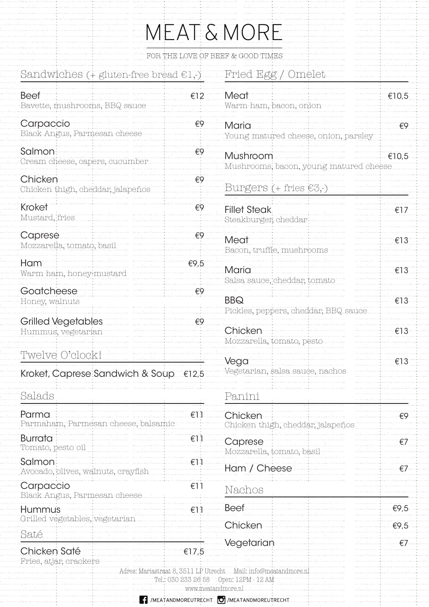|  | MEAT & MORE |  |
|--|-------------|--|
|  |             |  |

|  |  |  | FOR THE LOVE OF BEEF & GOOD TIMES |
|--|--|--|-----------------------------------|
|  |  |  |                                   |

Meat

Fried Egg / Omelet

€10,5

| $\cdots$                                         |      |
|--------------------------------------------------|------|
| FOR THE LOVE OI                                  |      |
| Sandwiches $($ + gluten-free bread $\in$ 1,- $)$ |      |
| Beef<br>Bavette, mushrooms, BBQ sauce            | €12  |
| Carpaccio<br>Black Angus, Parmesan cheese        | €9   |
| Salmon<br>Cream cheese, capers, cucumber         | €9   |
| Chicken<br>Chicken thigh, cheddar, jalapeños     | €9   |
| <b>Kroket</b><br>Mustard, fries                  | €9   |
| Caprese<br>Mozzarella, tomato, basil             | €9   |
| Ham<br>Warm ham, honey-mustard                   | €9,5 |
| Goatcheese<br>Honey, walnuts                     | €9   |
| <b>Grilled Vegetables</b><br>Hummus, vegetarian  | €9   |
| Twelve O'clock!                                  |      |
| Kroket, Caprese Sandwich & Soup €12,5            |      |
| Salads                                           |      |
| Parma<br>Parmaham, Parmesan cheese, balsamic     | €11  |
| <b>Rurrata</b>                                   | וו⊋  |

Tomato, pesto oil

Avocado, olives, walnuts, crayfish

Carpaccio<br>Black Angus, Parmesan cheese

Grilled vegetables, vegetarian

Salmon

Hummus

Chicken Saté

Fries, atjar, crackers

Saté

| ) sauce        |                    | Warm ham, bacon, onion                                          |       |
|----------------|--------------------|-----------------------------------------------------------------|-------|
| cheese         | €9                 | Maria<br>Young matured cheese, onion, parsley                   | €9    |
| cumber         | €9                 | Mushroom<br>Mushrooms, bacon, young matured cheese              | €10,5 |
| alapeños       | €9                 | Burgers $(+$ fries $\in 3,$ - $)$                               |       |
|                | €9                 | <b>Fillet Steak</b><br>Steakburger, cheddar                     | €17   |
|                | €9                 | Meat<br>Bacon, truffle, mushrooms                               | €13   |
| rd             | €9,5               | Maria<br>Salsa sauce, cheddar, tomato                           | €13   |
|                | €9                 | <b>BBQ</b><br>Pickles, peppers, cheddar, BBQ sauce              | €13   |
|                | €9                 | Chicken<br>Mozzarella, tomato, pesto                            | €13   |
| wich & Soup    | €12,5              | Vega<br>Vegetarian, salsa sauce, nachos                         | €13   |
|                |                    | Panini                                                          |       |
| eese, balsamic | €11                | Chicken<br>Chicken thigh, cheddar, jalapeños                    | €9    |
|                | €11                | Caprese<br>Mozzarella, tomato, basil                            | €7    |
| crayfish       | €11                | Ham / Cheese                                                    | €7    |
| cheese         | €11                | Nachos                                                          |       |
| riar.          | €ŀ                 | <b>Beef</b>                                                     | €9,5  |
|                |                    | Chicken                                                         | €9,5  |
|                | €17,5              | Vegetarian                                                      | €7    |
|                | www.meatandmore.nl | Adres: Mariastraat 8, 3511 LP Utrecht Mail: info@meatandmore.nl |       |

## MEATANDMOREUTRECHT **O** MEATANDMOREUTRECHT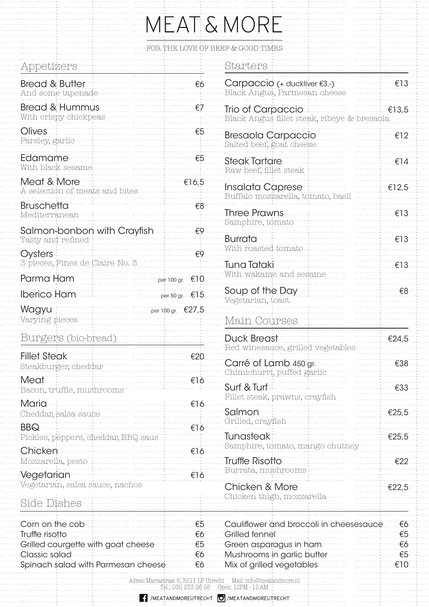|                                                         |                          | MEAT & MORE                                                                       |          |
|---------------------------------------------------------|--------------------------|-----------------------------------------------------------------------------------|----------|
|                                                         |                          | FOR THE LOVE OF BEEF & GOOD TIMES                                                 |          |
| Appetizers                                              |                          | Starters                                                                          |          |
| <b>Bread &amp; Butter</b><br>And some tapenade          | €6                       | Carpaccio (+ duckliver €3,-)<br>Black Angus, Parmesan cheese                      | €13      |
| <b>Bread &amp; Hummus</b><br>With crispy chickpeas      | €7                       | Trio of Carpaccio<br>Black Angus fillet steak, ribeye & bresaola                  | €13,5    |
| Olives<br>Parsley, garlic                               | €5                       | <b>Bresaola Carpaccio</b><br>Salted beef, goat cheese                             | €12      |
| Edamame<br>With black sesame                            | €5                       | <b>Steak Tartare</b><br>Raw beef, fillet steak                                    | €14      |
| Meat & More<br>A selection of meats and bites           | €16,5                    | Insalata Caprese<br>Buffalo mozzarella, tomato, basi                              | €12,5    |
| <b>Bruschetta</b><br>Mediterranean                      | €8                       | <b>Three Prawns</b><br>Samphire, tomato                                           | €13      |
| Salmon-bonbon with Crayfish<br>Tasty and refined        | €9<br>€9                 | <b>Burrata</b><br>With roasted tomato                                             | €13      |
| Oysters<br>3 pieces, Fines de Claire No. 3<br>Parma Ham | per 100 gr. €10          | <b>Tuna Tataki</b><br>With wakame and sesame                                      | €13      |
| <b>Iberico Ham</b>                                      | per 50 gr. $\epsilon$ 15 | Soup of the Day<br>Vegetarian, toast                                              | €8       |
| Wagyu<br>Varying pieces                                 | per 100 gr. €27,5        | Main Courses                                                                      |          |
| Burgers (bio-bread)                                     |                          | <b>Duck Breast</b><br>Red winesauce, grilled vegetables                           | €24,5    |
| <b>Fillet Steak</b><br>Steakburger, cheddar             | €20                      | Carré of Lamb 450 gr.<br>Chimichurri, puffed garlic                               | €38      |
| Meat<br>Bacon, truffle, mushrooms                       | €16                      | Surf & Turf<br>Fillet steak, prawns, crayfish                                     | €33      |
| Maria<br>Cheddar, salsa sauce<br><b>BBQ</b>             | €16<br>€16               | Salmon<br>Grilled, crayfish                                                       | €25,5    |
| Pickles, peppers, cheddar, BBQ saus<br>Chicken          | €16                      | <b>Tunasteak</b><br>Samphire, tomato, mango chutney                               | €25,5    |
| Mozzarella, pesto<br>Vegetarian                         | €16                      | <b>Truffle Risotto</b><br>Burrata, mushrooms                                      | €22      |
| Vegetarian, salsa sauce, nachos<br>Side Dishes          |                          | Chicken & More<br>Chicken thigh, mozzarella                                       | €22,5    |
|                                                         |                          |                                                                                   |          |
| Corn on the cob<br>Truffle risotto                      | €5<br>€6                 | Cauliflower and broccoli in cheesesauce<br><b>Grilled fennel</b>                  | €6<br>€5 |
| Grilled courgette with goat cheese                      | €5                       | Green asparagus in ham                                                            | €6       |
| Classic salad                                           | €6                       | Mushrooms in garlic butter                                                        | €5       |
| Spinach salad with Parmesan cheese                      | €6                       | Mix of grilled vegetables                                                         | €10      |
|                                                         |                          | Adres: Mariastraat 8, 3511 LP Utrecht Mail: info@meatandmore.nl<br>Onan:19DM:19AN |          |

## MEATANDMOREUTRECHT O /MEATANDMOREUTRECHT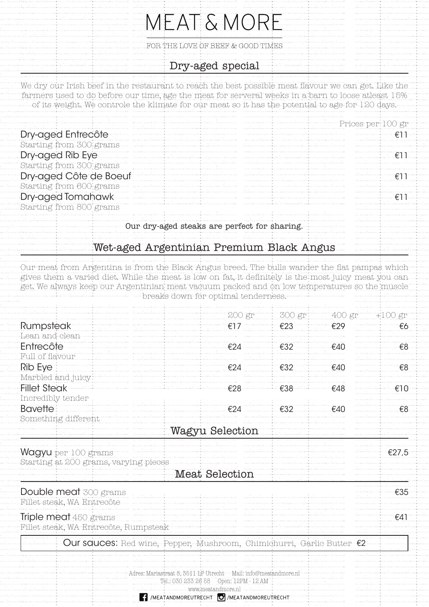|                                             | MEAT & MORE                                                                                                                                                                                                                                                                                                    |
|---------------------------------------------|----------------------------------------------------------------------------------------------------------------------------------------------------------------------------------------------------------------------------------------------------------------------------------------------------------------|
|                                             | FOR THE LOVE OF BEEF & GOOD TIMES                                                                                                                                                                                                                                                                              |
|                                             | Dry-aged special                                                                                                                                                                                                                                                                                               |
|                                             | We dry our Irish beef in the restaurant to reach the best possible meat flavour we can get. Like the<br>farmers used to do before our time, age the meat for serveral weeks in a barn to loose atleast 15%<br>of its weight. We controle the klimate for our meat so it has the potential to age for 120 days. |
|                                             | Prices per 100 gr                                                                                                                                                                                                                                                                                              |
| Dry-aged Entrecôte                          |                                                                                                                                                                                                                                                                                                                |
| Starting from 300 grams<br>Dry-aged Rib Eye |                                                                                                                                                                                                                                                                                                                |

Dry-aged Côte de Boeuf <del>€11</del> €11

 $Dry$ -aged Tomahawk  $f(1)$ 

Our dry-aged steaks are perfect for sharing.

Wet-aged Argentinian Premium Black Angus

Starting from 300 grams

Starting from 600 grams

Starting from 800 grams

Our meat from Argentina is from the Black Angus breed. The bulls wander the flat pampas which gives them a varied diet. While the meat is low on fat, it definitely is the most juicy meat you can get. We always keep our Argentinian meat vacuum packed and on low temperatures so the muscle breaks down for optimal tenderness.

|                                                                                 | 200 gr                                                        | 300 gr | 400 gr | $+100$ gr |  |  |  |  |
|---------------------------------------------------------------------------------|---------------------------------------------------------------|--------|--------|-----------|--|--|--|--|
| <b>Rumpsteak</b>                                                                | €17                                                           | €23    | €29    | €6        |  |  |  |  |
| Lean and clean                                                                  |                                                               |        |        |           |  |  |  |  |
| Entrecôte                                                                       | €24                                                           | €32    | €40    | €8        |  |  |  |  |
| Full of flavour                                                                 |                                                               |        |        |           |  |  |  |  |
| <b>Rib Eye</b>                                                                  | €24                                                           | €32    | €40    | €8        |  |  |  |  |
| Marbled and juicy                                                               |                                                               |        |        |           |  |  |  |  |
| <b>Fillet Steak</b>                                                             | €28                                                           | €38    | €48    | €10       |  |  |  |  |
| Incredibly tender                                                               |                                                               |        |        |           |  |  |  |  |
| <b>Bavette</b>                                                                  | €24                                                           | €32    | €40    | €8        |  |  |  |  |
| Something different                                                             |                                                               |        |        |           |  |  |  |  |
|                                                                                 | Wagyu Selection                                               |        |        |           |  |  |  |  |
|                                                                                 |                                                               |        |        |           |  |  |  |  |
| <b>Wagyu</b> per 100 grams                                                      |                                                               |        |        | €27,5     |  |  |  |  |
| Starting at 200 grams, varying pieces                                           |                                                               |        |        |           |  |  |  |  |
| Meat Selection                                                                  |                                                               |        |        |           |  |  |  |  |
| <b>Double meat</b> 300 grams                                                    |                                                               |        |        | €35       |  |  |  |  |
| Fillet steak, WA Entrecôte                                                      |                                                               |        |        |           |  |  |  |  |
|                                                                                 |                                                               |        |        |           |  |  |  |  |
| <b>Triple meat</b> 450 grams                                                    |                                                               |        |        | €41       |  |  |  |  |
| Fillet steak, WA Entrecôte, Rumpsteak                                           |                                                               |        |        |           |  |  |  |  |
| Our squces: Red wine, Pepper, Mushroom, Chimichurri, Garlic Butter $\epsilon_2$ |                                                               |        |        |           |  |  |  |  |
|                                                                                 |                                                               |        |        |           |  |  |  |  |
|                                                                                 |                                                               |        |        |           |  |  |  |  |
| Adres: Mariastraat 8, 3511 LP Utrecht Mail: info@meatandmore.nl                 |                                                               |        |        |           |  |  |  |  |
|                                                                                 | Tel.: 030 233 26 58  Open: 12PM - 12 AM<br>www.meatandmore.nl |        |        |           |  |  |  |  |
|                                                                                 | MEATANDMOREUTRECHT <b>O</b> /MEATANDMOREUTRECHT               |        |        |           |  |  |  |  |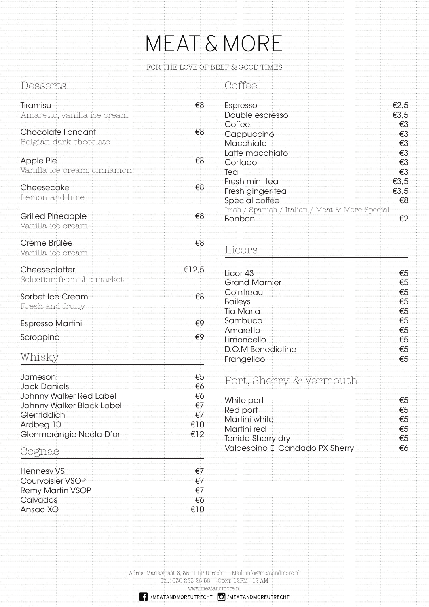## MEAT & MORE

FOR THE LOVE OF BEEF  $\&$  GOOD TIMES

| Desserts                                                                         |                             | Coffee                                                                                |                      |
|----------------------------------------------------------------------------------|-----------------------------|---------------------------------------------------------------------------------------|----------------------|
| Tiramisu<br>Amaretto, vanilla ice cream                                          | €8                          | Espresso<br>Double espresso                                                           | €2,5<br>€3,5         |
| Chocolate Fondant<br>Belgian dark chocolate                                      | €8                          | Coffee<br>Cappuccino<br>Macchiato                                                     | $\xi3$<br>€3<br>€3   |
| <b>Apple Pie</b><br>Vanilla ice cream, cinnamon                                  | €8                          | Latte macchiato<br>Cortado<br>Tea                                                     | €3<br>€3<br>€3       |
| Cheesecake<br>Lemon and lime                                                     | €8                          | Fresh mint tea<br>Fresh ginger tea<br>Special coffee                                  | €3,5<br>€3,5<br>€8   |
| <b>Grilled Pineapple</b><br>Vanilla ice cream                                    | €8                          | Irish / Spanish / Italian / Meat & More Special<br><b>Bonbon</b>                      | E2                   |
| Crème Brûlée<br>Vanilla ice cream                                                | €8                          | Licors                                                                                |                      |
| Cheeseplatter<br>Selection from the market                                       | €12,5                       | Licor 43<br><b>Grand Marnier</b>                                                      | €5<br>€5             |
| Sorbet Ice Cream<br>Fresh and fruity                                             | €8                          | Cointreau<br><b>Baileys</b><br><b>Tia Maria</b>                                       | €5<br>€5<br>€5       |
| <b>Espresso Martini</b><br>Scroppino                                             | $\epsilon$ 9<br>€9          | Sambuca<br>Amaretto<br>Limoncello                                                     | €5<br>€5<br>€5       |
| Whisky                                                                           |                             | <b>D.O.M Benedictine</b><br>Frangelico                                                | €5<br>€5             |
| Jameson:<br><b>Jack Daniels</b><br>Johnny Walker Red Label                       | €5<br>€6<br>€6              | Port, Sherry & Vermouth                                                               |                      |
| Johnny Walker Black Label<br>Glenfiddich<br>Ardbeg 10<br>Glenmorangie Necta D'or | €7<br>€7<br>€10<br>€12      | White port<br>Red port<br>Martini white<br>Martini red                                | €5<br>€5<br>€5<br>€5 |
| Cognac                                                                           |                             | Tenido Sherry dry<br>Valdespino El Candado PX Sherry                                  | €5<br>€6             |
| <b>Hennesy VS</b><br>Courvoisier VSOP<br><b>Remy Martin VSOP</b><br>Calvados     | €7<br>€7<br>€7<br>€6<br>€10 |                                                                                       |                      |
| Ansac XO                                                                         |                             |                                                                                       |                      |
|                                                                                  |                             | Adres: Mariastraat 8, 3511 LP Utrecht Mail: info@meatandmore.nl<br>www.meatandmore.nl |                      |
|                                                                                  |                             | MEATANDMOREUTRECHT   MEATANDMOREUTRECHT                                               |                      |